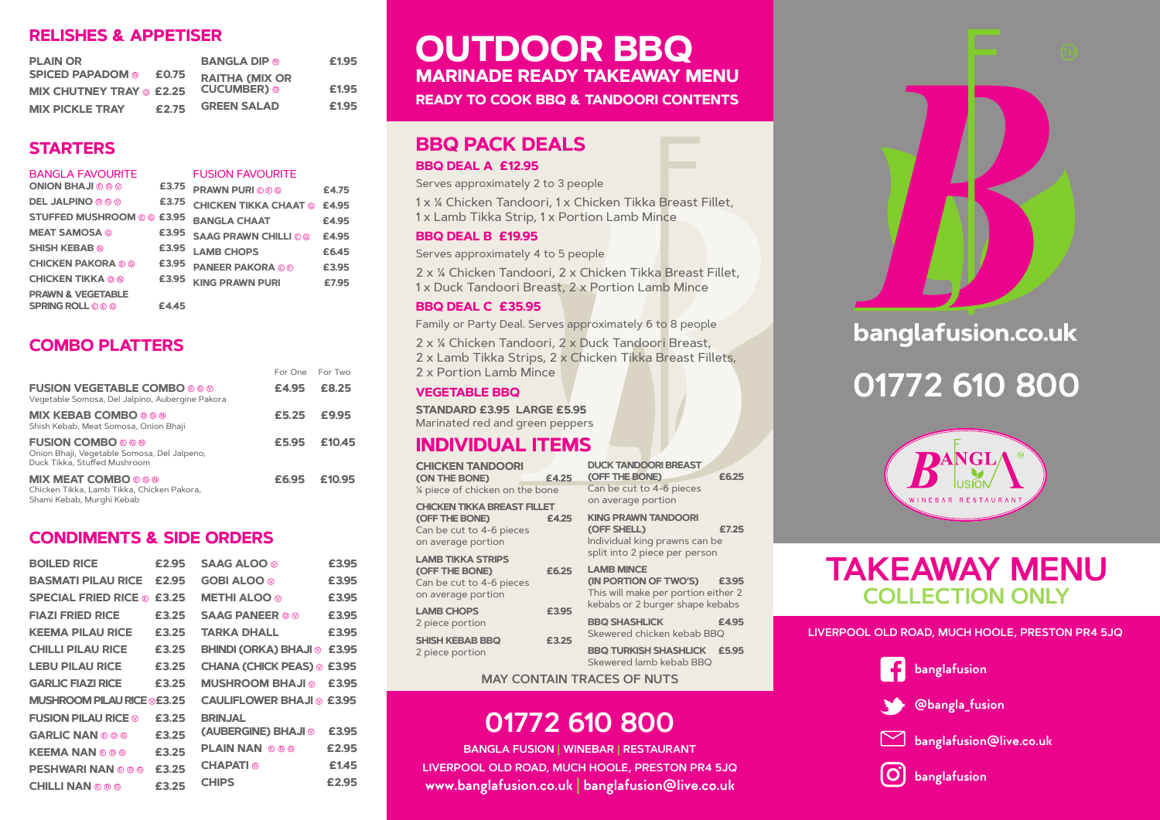## **RELISHES & APPETISER**

| <b>PLAIN OR</b>                 |       | <b>BANGLA DIP ®</b>                   | £1.95 |
|---------------------------------|-------|---------------------------------------|-------|
| <b>SPICED PAPADOM ©</b>         | £0.75 | <b>RAITHA (MIX OR<br/>CUCUMBER) ®</b> |       |
| <b>MIX CHUTNEY TRAY @ £2.25</b> |       |                                       | £1.95 |
| <b>MIX PICKLE TRAY</b>          | £2.75 | <b>GREEN SALAD</b>                    | £1.95 |

## **STARTERS**

| <b>BANGLA FAVOURITE</b>           |       | <b>FUSION FAVOURITE</b>      |       |
|-----------------------------------|-------|------------------------------|-------|
| <b>ONION BHAJI © © 0</b>          | £3.75 | <b>PRAWN PURI OOO</b>        | £4.75 |
| <b>DEL JALPINO © © ©</b>          | £3.75 | <b>CHICKEN TIKKA CHAAT ©</b> | £4.95 |
| <b>STUFFED MUSHROOM © © £3.95</b> |       | <b>BANGLA CHAAT</b>          | £4.95 |
| <b>MEAT SAMOSA ©</b>              | £3.95 | <b>SAAG PRAWN CHILLI OG</b>  | £4.95 |
| <b>SHISH KEBAB ®</b>              | £3.95 | <b>LAMB CHOPS</b>            | £6.45 |
| <b>CHICKEN PAKORA © ©</b>         | £3.95 | <b>PANEER PAKORA © ®</b>     | £3.95 |
| <b>CHICKEN TIKKA © ®</b>          | £3.95 | <b>KING PRAWN PURI</b>       | £7.95 |
| <b>PRAWN &amp; VEGETABLE</b>      |       |                              |       |
| <b>SPRING ROLL O © G</b>          | £4.45 |                              |       |
|                                   |       |                              |       |

## **COMBO PLATTERS**

|                                                                                                          | For One For Two |        |
|----------------------------------------------------------------------------------------------------------|-----------------|--------|
| <b>FUSION VEGETABLE COMBO © © ©</b><br>Vegetable Somosa, Del Jalpino, Aubergine Pakora                   | £4.95           | £8.25  |
| <b>MIX KEBAB COMBO 0 6 0</b><br>Shish Kebab, Meat Somosa, Onion Bhaji                                    | £5.25           | £9.95  |
| <b>FUSION COMBO</b> © © ®<br>Onion Bhaji, Vegetable Somosa, Del Jalpeno,<br>Duck Tikka, Stuffed Mushroom | £5.95           | £10.45 |
| <b>MIX MEAT COMBO</b> CON<br>Chicken Tikka, Lamb Tikka, Chicken Pakora,<br>Shami Kebab, Murghi Kebab     | £6.95           | £10.95 |

## **CONDIMENTS & SIDE ORDERS**

| <b>BOILED RICE</b>                            | £2.95 | SAAG ALOO ®                      | £3.95 |
|-----------------------------------------------|-------|----------------------------------|-------|
| <b>BASMATI PILAU RICE</b>                     | £2.95 | <b>GOBI ALOO</b>                 | £3.95 |
| <b>SPECIAL FRIED RICE ©</b>                   | £3.25 | <b>METHI ALOO</b> ®              | £3.95 |
| <b>FIAZI FRIED RICE</b>                       | £3.25 | <b>SAAG PANEER © ©</b>           | £3.95 |
| <b>KEEMA PILAU RICE</b>                       | £3.25 | <b>TARKA DHALL</b>               | £3.95 |
| <b>CHILLI PILAU RICE</b>                      | £3.25 | <b>BHINDI (ORKA) BHAJI @</b>     | £3.95 |
| <b>LEBU PILAU RICE</b>                        | £3.25 | <b>CHANA (CHICK PEAS) ®</b>      | £3.95 |
| <b>GARLIC FIAZI RICE</b>                      | £3.25 | <b>© ILAHB MOORH2UM</b>          | £3.95 |
| <b>MUSHROOM PILAU RICE @£3.25</b>             |       | <b>CAULIFLOWER BHAJI @ £3.95</b> |       |
| <b>FUSION PILAU RICE <math>\otimes</math></b> | £3.25 | <b>BRINJAL</b>                   |       |
| <b>GARLIC NAN © © ©</b>                       | £3.25 | (AUBERGINE) BHAJI <b>©</b>       | £3.95 |
| <b>KEEMA NAN © © ©</b>                        | £3.25 | <b>PLAIN NAN</b> © © ©           | £2.95 |
| <b>PESHWARI NAN © © ©</b>                     | £3.25 | <b>CHAPATI ©</b>                 | £1.45 |
| <b>CHILLI NAN © © ©</b>                       | £3.25 | <b>CHIPS</b>                     | £2.95 |
|                                               |       |                                  |       |

# **MARINADE READY TAKEAWAY MENU OUTDOOR BBQ**

**READY TO COOK BBQ & TANDOORI CONTENTS**

# **BBQ PACK DEALS**

#### **BBQ DEAL A £12.95**

Serves approximately 2 to 3 people

1 x ¼ Chicken Tandoori, 1 x Chicken Tikka Breast Fillet, 1 x Lamb Tikka Strip, 1 x Portion Lamb Mince

#### **BBQ DEAL B £19.95**

Serves approximately 4 to 5 people

2 x ¼ Chicken Tandoori, 2 x Chicken Tikka Breast Fillet, 1 x Duck Tandoori Breast, 2 x Portion Lamb Mince

#### **BBQ DEAL C £35.95**

Family or Party Deal. Serves approximately 6 to 8 people

2 x ¼ Chicken Tandoori, 2 x Duck Tandoori Breast, 2 x Lamb Tikka Strips, 2 x Chicken Tikka Breast Fillets,

### **VEGETABLE BBQ**

**STANDARD £3.95 LARGE £5.95** Marinated red and green peppers

# **INDIVIDUAL ITEMS**

**CHICKEN TANDOORI (ON THE BONE) £4.25** ¼ piece of chicken on the bone **CHICKEN TIKKA BREAST FILLET (OFF THE BONE) £4.25 KING PRAWN TANDOORI**  Can be cut to 4-6 pieces on average portion **LAMB TIKKA STRIPS (OFF THE BONE)** Can be cut to 4-6 pieces on average portion **LAMB CHOPS £3.95** 2 piece portion **SHISH KEBAB BBQ £3.25**

2 piece portion

**DUCK TANDOORI BREAST (OFF THE BONE) £6.25** Can be cut to 4-6 pieces on average portion

> **(OFF SHELL) £7.25** Individual king prawns can be split into 2 piece per person

#### **LAMB MINCE (IN PORTION OF TWO'S) £3.95** This will make per portion either 2 kebabs or 2 burger shape kebabs

**BBQ SHASHLICK £4.95** Skewered chicken kebab BBQ

**BBQ TURKISH SHASHLICK £5.95** Skewered lamb kebab BBQ

### **MAY CONTAIN TRACES OF NUTS**

# **01772 610 800**

**LIVERPOOL OLD ROAD, MUCH HOOLE, PRESTON PR4 5JQ BANGLA FUSION | WINEBAR | RESTAURANT www.banglafusion.co.uk | banglafusion@live.co.uk**



# **banglafusion.co.uk**

# 01772 610 800



# **TAKEAWAY MENU COLLECTION ONLY**

**LIVERPOOL OLD ROAD, MUCH HOOLE, PRESTON PR4 5JQ**